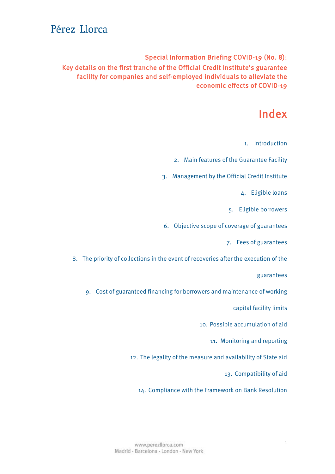Special Information Briefing COVID-19 (No. 8): Key details on the first tranche of the Official Credit Institute's guarantee facility for companies and self-employed individuals to alleviate the economic effects of COVID-19

### Index

1. [Introduction](#page-1-0)

2. Main features of the Guarantee Facility

3. [Management by the Official Credit Institute](#page-2-0)

4. Eligible loans

5. [Eligible borrowers](#page-3-0)

6. [Objective scope of coverage of guarantees](#page-4-0)

7. Fees [of guarantees](#page-5-0)

8. [The priority of collections in the event of recoveries after the execution of the](#page-6-0) 

guarantees

9. Cost of guaranteed financing for borrowers and maintenance of working

capital facility limits

10. Possible accumulation of aid

11. Monitoring [and reporting](#page-7-0)

12. [The legality of the measure and availability of State aid](#page-7-0)

13. [Compatibility of aid](#page-8-0)

14. [Compliance with the Framework on Bank Resolution](#page-9-0)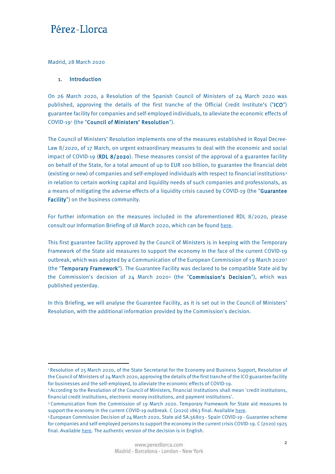<span id="page-1-0"></span>Madrid, 28 March 2020

#### 1. Introduction

 $\overline{a}$ 

On 26 March 2020, a Resolution of the Spanish Council of Ministers of 24 March 2020 was published, approving the details of the first tranche of the Official Credit Institute's ("ICO") guarantee facility for companies and self-employed individuals, to alleviate the economic effects of COVID-19[1](#page-1-1) (the "Council of Ministers' Resolution").

The Council of Ministers' Resolution implements one of the measures established in Royal Decree-Law 8/2020, of 17 March, on urgent extraordinary measures to deal with the economic and social impact of COVID-19 (RDL 8/2020). These measures consist of the approval of a guarantee facility on behalf of the State, for a total amount of up to EUR 100 billion, to guarantee the financial debt (existing or new) of companies and self-employed individuals with respect to financial institutions[2](#page-1-2) in relation to certain working capital and liquidity needs of such companies and professionals, as a means of mitigating the adverse effects of a liquidity crisis caused by COVID-19 (the "Guarantee Facility") on the business community.

For further information on the measures included in the aforementioned RDL 8/2020, please consult our Information Briefing of 18 March 2020, which can be foun[d here.](https://www.perezllorca.com/wp-content/uploads/2020/03/perez-llorca-special-information-briefing-no-4.pdf)

This first guarantee facility approved by the Council of Ministers is in keeping with the Temporary Framework of the State aid measures to support the economy in the face of the current COVID-19 outbreak, which was adopted by a Communication of the European Commission of 19 March 2020[3](#page-1-3) (the "Temporary Framework"). The Guarantee Facility was declared to be compatible State aid by the Commission's decision of 2[4](#page-1-4) March 20204 (the "Commission's Decision"), which was published yesterday.

In this Briefing, we will analyse the Guarantee Facility, as it is set out in the Council of Ministers' Resolution, with the additional information provided by the Commission's decision.

<span id="page-1-1"></span><sup>1</sup> Resolution of 25 March 2020, of the State Secretariat for the Economy and Business Support, Resolution of the Council of Ministers of 24 March 2020, approving the details of the first tranche of the ICO guarantee facility for businesses and the self-employed, to alleviate the economic effects of COVID-19.

<span id="page-1-2"></span><sup>2</sup> According to the Resolution of the Council of Ministers, financial institutions shall mean 'credit institutions, financial credit institutions, electronic money institutions, and payment institutions'.

<span id="page-1-3"></span><sup>3</sup> Communication from the Commission of 19 March 2020. Temporary Framework for State aid measures to support the economy in the current COVID-19 outbreak. C (2020) 1863 final. Availabl[e here.](https://ec.europa.eu/competition/state_aid/what_is_new/sa_covid19_temporary-framework.pdf)

<span id="page-1-4"></span><sup>4</sup> European Commission Decision of 24 March 2020, State aid SA.56803 - Spain COVID-19 - Guarantee scheme for companies and self-employed persons to support the economy in the current crisis COVID-19. C (2020) 1925 final. Availabl[e here.](https://ec.europa.eu/competition/state_aid/cases1/202013/285233_2142736_57_2.pdf) The authentic version of the decision is in English.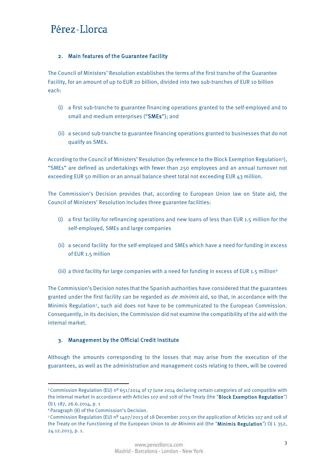#### <span id="page-2-0"></span>2. Main features of the Guarantee Facility

The Council of Ministers' Resolution establishes the terms of the first tranche of the Guarantee Facility, for an amount of up to EUR 20 billion, divided into two sub-tranches of EUR 10 billion each:

- (i) a first sub-tranche to guarantee financing operations granted to the self-employed and to small and medium enterprises ("SMEs"); and
- (ii) a second sub-tranche to guarantee financing operations granted to businesses that do not qualify as SMEs.

According to the Council of Ministers' Resolution (by reference to the Block Exemption Regulation[5](#page-2-1)), "SMEs" are defined as undertakings with fewer than 250 employees and an annual turnover not exceeding EUR 50 million or an annual balance sheet total not exceeding EUR 43 million.

The Commission's Decision provides that, according to European Union law on State aid, the Council of Ministers' Resolution includes three guarantee facilities:

- (i) a first facility for refinancing operations and new loans of less than EUR 1.5 million for the self-employed, SMEs and large companies
- (ii) a second facility for the self-employed and SMEs which have a need for funding in excess of EUR 1.5 million
- (iii) a third facility for large companies with a need for funding in excess of EUR 1.5 million<sup>[6](#page-2-2)</sup>

The Commission's Decision notes that the Spanish authorities have considered that the guarantees granted under the first facility can be regarded as *de minimis* aid, so that, in accordance with the Minimis Regulation[7,](#page-2-3) such aid does not have to be communicated to the European Commission. Consequently, in its decision, the Commission did not examine the compatibility of the aid with the internal market.

### 3. Management by the Official Credit Institute

Although the amounts corresponding to the losses that may arise from the execution of the guarantees, as well as the administration and management costs relating to them, will be covered

 $\overline{a}$ 

<span id="page-2-1"></span><sup>5</sup> Commission Regulation (EU) nº 651/2014 of 17 June 2014 declaring certain categories of aid compatible with the internal market in accordance with Articles 107 and 108 of the Treaty (the "Block Exemption Regulation") OJ L 187, 26.6.2014, p. 1

<span id="page-2-2"></span><sup>6</sup> Paragraph (8) of the Commission's Decision.

<span id="page-2-3"></span><sup>7</sup> Commission Regulation (EU) nº 1407/2013 of 18 December 2013 on the application of Articles 107 and 108 of the Treaty on the Functioning of the European Union to *de Minimis* aid (the "Minimis Regulation") OJ L 352, 24.12.2013, p. 1.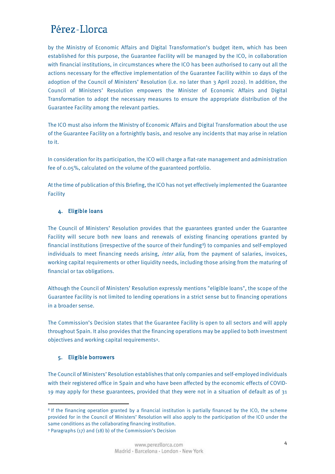<span id="page-3-0"></span>by the Ministry of Economic Affairs and Digital Transformation's budget item, which has been established for this purpose, the Guarantee Facility will be managed by the ICO, in collaboration with financial institutions, in circumstances where the ICO has been authorised to carry out all the actions necessary for the effective implementation of the Guarantee Facility within 10 days of the adoption of the Council of Ministers' Resolution (i.e. no later than 3 April 2020). In addition, the Council of Ministers' Resolution empowers the Minister of Economic Affairs and Digital Transformation to adopt the necessary measures to ensure the appropriate distribution of the Guarantee Facility among the relevant parties.

The ICO must also inform the Ministry of Economic Affairs and Digital Transformation about the use of the Guarantee Facility on a fortnightly basis, and resolve any incidents that may arise in relation to it.

In consideration for its participation, the ICO will charge a flat-rate management and administration fee of 0.05%, calculated on the volume of the guaranteed portfolio.

At the time of publication of this Briefing, the ICO has not yet effectively implemented the Guarantee Facility

#### 4. Eligible loans

The Council of Ministers' Resolution provides that the guarantees granted under the Guarantee Facility will secure both new loans and renewals of existing financing operations granted by financial institutions (irrespective of the source of their funding<sup>8</sup>) to companies and self-employed individuals to meet financing needs arising, *inter alia*, from the payment of salaries, invoices, working capital requirements or other liquidity needs, including those arising from the maturing of financial or tax obligations.

Although the Council of Ministers' Resolution expressly mentions "eligible loans", the scope of the Guarantee Facility is not limited to lending operations in a strict sense but to financing operations in a broader sense.

The Commission's Decision states that the Guarantee Facility is open to all sectors and will apply throughout Spain. It also provides that the financing operations may be applied to both investment objectives and working capital requirements[9.](#page-3-2)

#### 5. Eligible borrowers

The Council of Ministers' Resolution establishes that only companies and self-employed individuals with their registered office in Spain and who have been affected by the economic effects of COVID-19 may apply for these guarantees, provided that they were not in a situation of default as of  $31$ 

<span id="page-3-2"></span><span id="page-3-1"></span> $\overline{a}$ <sup>8</sup> If the financing operation granted by a financial institution is partially financed by the ICO, the scheme provided for in the Council of Ministers' Resolution will also apply to the participation of the ICO under the same conditions as the collaborating financing institution. <sup>9</sup> Paragraphs (17) and (18) b) of the Commission's Decision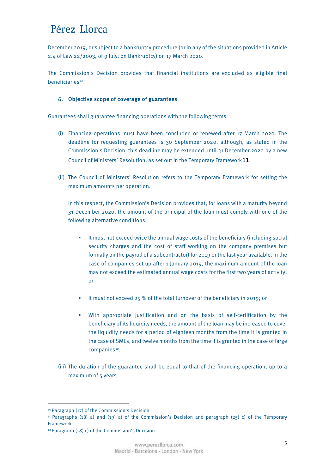<span id="page-4-0"></span>December 2019, or subject to a bankruptcy procedure (or in any of the situations provided in Article 2.4 of Law 22/2003, of 9 July, on Bankruptcy) on 17 March 2020.

The Commission's Decision provides that financial institutions are excluded as eligible final beneficiaries<sup>10</sup>.

#### 6. Objective scope of coverage of guarantees

Guarantees shall guarantee financing operations with the following terms:

- (i) Financing operations must have been concluded or renewed after 17 March 2020. The deadline for requesting guarantees is 30 September 2020, although, as stated in the Commission's Decision, this deadline may be extended until 31 December 2020 by a new Council of Ministers' Resolution, as set out in the Temporary Framework[11](#page-4-2).
- (ii) The Council of Ministers' Resolution refers to the Temporary Framework for setting the maximum amounts per operation.

In this respect, the Commission's Decision provides that, for loans with a maturity beyond 31 December 2020, the amount of the principal of the loan must comply with one of the following alternative conditions:

- It must not exceed twice the annual wage costs of the beneficiary (including social security charges and the cost of staff working on the company premises but formally on the payroll of a subcontractor) for 2019 or the last year available. In the case of companies set up after 1 January 2019, the maximum amount of the loan may not exceed the estimated annual wage costs for the first two years of activity; or
- It must not exceed 25 % of the total turnover of the beneficiary in 2019; or
- With appropriate justification and on the basis of self-certification by the beneficiary of its liquidity needs, the amount of the loan may be increased to cover the liquidity needs for a period of eighteen months from the time it is granted in the case of SMEs, and twelve months from the time it is granted in the case of large companies<sup>[12](#page-4-3)</sup>.
- (iii) The duration of the guarantee shall be equal to that of the financing operation, up to a maximum of 5 years.

 $\overline{a}$ 

<span id="page-4-1"></span><sup>10</sup> Paragraph (17) of the Commission's Decision

<span id="page-4-2"></span><sup>&</sup>lt;sup>11</sup> Paragraphs (18) a) and (19) a) of the Commission's Decision and paragraph (25) c) of the Temporary Framework

<span id="page-4-3"></span><sup>12</sup> Paragraph (18) c) of the Commission's Decision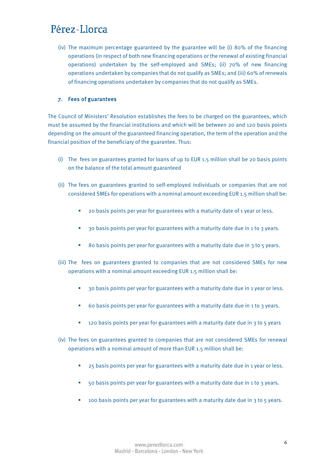<span id="page-5-0"></span>(iv) The maximum percentage guaranteed by the guarantee will be (i) 80% of the financing operations (in respect of both new financing operations or the renewal of existing financial operations) undertaken by the self-employed and SMEs; (ii) 70% of new financing operations undertaken by companies that do not qualify as SMEs; and (iii) 60% of renewals of financing operations undertaken by companies that do not qualify as SMEs.

#### 7. Fees of guarantees

The Council of Ministers' Resolution establishes the fees to be charged on the guarantees, which must be assumed by the financial institutions and which will be between 20 and 120 basis points depending on the amount of the guaranteed financing operation, the term of the operation and the financial position of the beneficiary of the guarantee. Thus:

- (i) The fees on guarantees granted for loans of up to EUR 1.5 million shall be 20 basis points on the balance of the total amount guaranteed
- (ii) The fees on guarantees granted to self-employed individuals or companies that are not considered SMEs for operations with a nominal amount exceeding EUR 1.5 million shall be:
	- **20 basis points per year for guarantees with a maturity date of 1 year or less.**
	- <sup>3</sup> 30 basis points per year for guarantees with a maturity date due in 1 to 3 years.
	- 80 basis points per year for guarantees with a maturity date due in 3 to 5 years.
- (iii) The fees on guarantees granted to companies that are not considered SMEs for new operations with a nominal amount exceeding EUR 1.5 million shall be:
	- <sup>3</sup> 30 basis points per year for guarantees with a maturity date due in 1 year or less.
	- 60 basis points per year for guarantees with a maturity date due in 1 to 3 years.
	- <sup>1</sup> 120 basis points per year for guarantees with a maturity date due in 3 to 5 years
- (iv) The fees on guarantees granted to companies that are not considered SMEs for renewal operations with a nominal amount of more than EUR 1.5 million shall be:
	- <sup>2</sup> 25 basis points per year for guarantees with a maturity date due in 1 year or less.
	- 50 basis points per year for guarantees with a maturity date due in 1 to 3 years.
	- **100 basis points per year for guarantees with a maturity date due in 3 to 5 years.**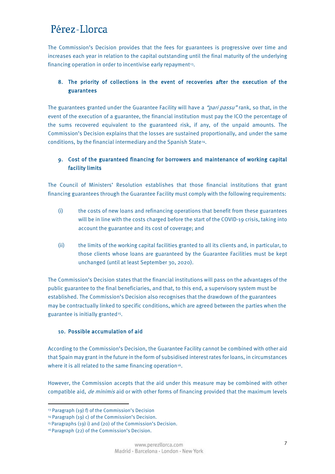<span id="page-6-0"></span>The Commission's Decision provides that the fees for guarantees is progressive over time and increases each year in relation to the capital outstanding until the final maturity of the underlying financing operation in order to incentivise early repayment<sup>13</sup>.

### 8. The priority of collections in the event of recoveries after the execution of the guarantees

The guarantees granted under the Guarantee Facility will have a "pari passu" rank, so that, in the event of the execution of a guarantee, the financial institution must pay the ICO the percentage of the sums recovered equivalent to the guaranteed risk, if any, of the unpaid amounts. The Commission's Decision explains that the losses are sustained proportionally, and under the same conditions, by the financial intermediary and the Spanish State[14](#page-6-2).

### 9. Cost of the guaranteed financing for borrowers and maintenance of working capital facility limits

The Council of Ministers' Resolution establishes that those financial institutions that grant financing guarantees through the Guarantee Facility must comply with the following requirements:

- (i) the costs of new loans and refinancing operations that benefit from these guarantees will be in line with the costs charged before the start of the COVID-19 crisis, taking into account the guarantee and its cost of coverage; and
- (ii) the limits of the working capital facilities granted to all its clients and, in particular, to those clients whose loans are guaranteed by the Guarantee Facilities must be kept unchanged (until at least September 30, 2020).

The Commission's Decision states that the financial institutions will pass on the advantages of the public guarantee to the final beneficiaries, and that, to this end, a supervisory system must be established. The Commission's Decision also recognises that the drawdown of the guarantees may be contractually linked to specific conditions, which are agreed between the parties when the guarantee is initially granted<sup>15</sup>.

#### 10. Possible accumulation of aid

According to the Commission's Decision, the Guarantee Facility cannot be combined with other aid that Spain may grant in the future in the form of subsidised interest rates for loans, in circumstances where it is all related to the same financing operation<sup>16</sup>.

However, the Commission accepts that the aid under this measure may be combined with other compatible aid, *de minimis* aid or with other forms of financing provided that the maximum levels

 $\overline{a}$ 

<span id="page-6-1"></span><sup>13</sup> Paragraph (19) f) of the Commission's Decision

<span id="page-6-2"></span><sup>14</sup> Paragraph (19) c) of the Commission's Decision.

<span id="page-6-3"></span><sup>15</sup> Paragraphs (19) i) and (20) of the Commission's Decision.

<span id="page-6-4"></span><sup>16</sup> Paragraph (22) of the Commission's Decision.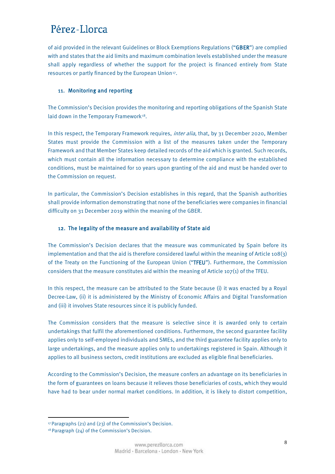<span id="page-7-0"></span>of aid provided in the relevant Guidelines or Block Exemptions Regulations ("GBER") are complied with and states that the aid limits and maximum combination levels established under the measure shall apply regardless of whether the support for the project is financed entirely from State resources or partly financed by the European Union<sup>[17](#page-7-1)</sup>.

#### 11. Monitoring and reporting

The Commission's Decision provides the monitoring and reporting obligations of the Spanish State laid down in the Temporary Framework<sup>[18](#page-7-2)</sup>.

In this respect, the Temporary Framework requires, *inter alia*, that, by 31 December 2020, Member States must provide the Commission with a list of the measures taken under the Temporary Framework and that Member States keep detailed records of the aid which is granted. Such records, which must contain all the information necessary to determine compliance with the established conditions, must be maintained for 10 years upon granting of the aid and must be handed over to the Commission on request.

In particular, the Commission's Decision establishes in this regard, that the Spanish authorities shall provide information demonstrating that none of the beneficiaries were companies in financial difficulty on 31 December 2019 within the meaning of the GBER.

#### 12. The legality of the measure and availability of State aid

The Commission's Decision declares that the measure was communicated by Spain before its implementation and that the aid is therefore considered lawful within the meaning of Article 108(3) of the Treaty on the Functioning of the European Union ("TFEU"). Furthermore, the Commission considers that the measure constitutes aid within the meaning of Article 107(1) of the TFEU.

In this respect, the measure can be attributed to the State because (i) it was enacted by a Royal Decree-Law, (ii) it is administered by the Ministry of Economic Affairs and Digital Transformation and (iii) it involves State resources since it is publicly funded.

The Commission considers that the measure is selective since it is awarded only to certain undertakings that fulfil the aforementioned conditions. Furthermore, the second guarantee facility applies only to self-employed individuals and SMEs, and the third guarantee facility applies only to large undertakings, and the measure applies only to undertakings registered in Spain. Although it applies to all business sectors, credit institutions are excluded as eligible final beneficiaries.

According to the Commission's Decision, the measure confers an advantage on its beneficiaries in the form of guarantees on loans because it relieves those beneficiaries of costs, which they would have had to bear under normal market conditions. In addition, it is likely to distort competition,

<span id="page-7-1"></span> $\overline{a}$ <sup>17</sup> Paragraphs (21) and (23) of the Commission's Decision.

<span id="page-7-2"></span><sup>18</sup> Paragraph (24) of the Commission's Decision.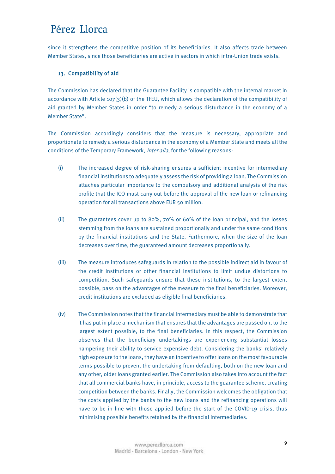<span id="page-8-0"></span>since it strengthens the competitive position of its beneficiaries. It also affects trade between Member States, since those beneficiaries are active in sectors in which intra-Union trade exists.

#### 13. Compatibility of aid

The Commission has declared that the Guarantee Facility is compatible with the internal market in accordance with Article 107(3)(b) of the TFEU, which allows the declaration of the compatibility of aid granted by Member States in order "to remedy a serious disturbance in the economy of a Member State".

The Commission accordingly considers that the measure is necessary, appropriate and proportionate to remedy a serious disturbance in the economy of a Member State and meets all the conditions of the Temporary Framework, *inter alia*, for the following reasons:

- (i) The increased degree of risk-sharing ensures a sufficient incentive for intermediary financial institutions to adequately assess the risk of providing a loan. The Commission attaches particular importance to the compulsory and additional analysis of the risk profile that the ICO must carry out before the approval of the new loan or refinancing operation for all transactions above EUR 50 million.
- (ii) The guarantees cover up to 80%, 70% or 60% of the loan principal, and the losses stemming from the loans are sustained proportionally and under the same conditions by the financial institutions and the State. Furthermore, when the size of the loan decreases over time, the guaranteed amount decreases proportionally.
- (iii) The measure introduces safeguards in relation to the possible indirect aid in favour of the credit institutions or other financial institutions to limit undue distortions to competition. Such safeguards ensure that these institutions, to the largest extent possible, pass on the advantages of the measure to the final beneficiaries. Moreover, credit institutions are excluded as eligible final beneficiaries.
- (iv) The Commission notes that the financial intermediary must be able to demonstrate that it has put in place a mechanism that ensures that the advantages are passed on, to the largest extent possible, to the final beneficiaries. In this respect, the Commission observes that the beneficiary undertakings are experiencing substantial losses hampering their ability to service expensive debt. Considering the banks' relatively high exposure to the loans, they have an incentive to offer loans on the most favourable terms possible to prevent the undertaking from defaulting, both on the new loan and any other, older loans granted earlier. The Commission also takes into account the fact that all commercial banks have, in principle, access to the guarantee scheme, creating competition between the banks. Finally, the Commission welcomes the obligation that the costs applied by the banks to the new loans and the refinancing operations will have to be in line with those applied before the start of the COVID-19 crisis, thus minimising possible benefits retained by the financial intermediaries.